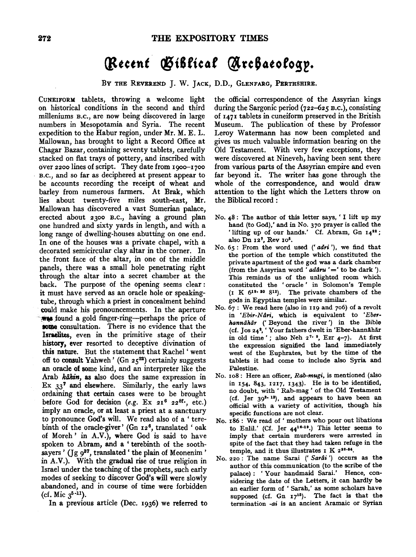## (Recent Ciblical Archaeology.

BY THE REVEREND J. W. JACK, D.D., GLENFARG, PERTHSHIRE.

CuNEIFORM tablets, throwing a welcome light on historical conditions in the second and third milleniums B.c., are now being discovered in large numbers in Mesopotamia and Syria. The recent expedition to the Habur region, under Mr. M. E. L. Mallowan, has brought to light a Record Office at Chagar Bazar, containing seventy tablets, carefully stacked on fiat trays of pottery, and inscribed with over 2200 lines of script. They date from 190o-1700 B.c., and so far as deciphered at present appear to be accounts recording the receipt of wheat and barley from numerous farmers. At Brak, which lies about twenty-five miles south-east, Mr. Mallowan has discovered a vast Sumerian palace, erected about 2300 B.c., having a ground plan one hundred and sixty yards in length, and with a long range of dwelling-houses abutting on one end. In one of the houses was a private chapel, with a decorated semicircular clay altar in the corner. In the front face of the altar, in one of the middle panels, there was a small hole penetrating right through the altar into a secret chamber at the back. The purpose of the opening seems clear : it must have served as an oracle hole or speakingtube, through which a priest in concealment behind the could make his pronouncements. In the aperture<br>
was found a gold finger-ring-perhaps the price of was found a gold finger-ring—perhaps the price of some consultation. There is no evidence that the Israelites, even in the primitive stage of their history, ever resorted to deceptive divination of this nature. But the statement that Rachel ' went off to consult Yahweh' (Gn  $25^{22}$ ) certainly suggests an oracle of some kind, and an interpreter like the Arab kahin, as also does the same expression in Ex 337 and elsewhere. Similarly, the early laws ordaining that certain cases were to be brought before God for decision (e.g. Ex  $21^6$   $22^{8t}$ ., etc.) imply an oracle, or at least a priest at a sanctuary to pronounce God's will. We read also of a 'terebinth of the oracle-giver' (Gn 126, translated ' oak of Moreh' in A.V.), where God is said to have spoken to Abram, and a ' terebinth of the soothsayers' (Jg 9<sup>37</sup>, translated ' the plain of Meonenim' in A.V.). With the gradual rise of true religion in Israel under the teaching of the prophets, such early modes of seeking to discover God's will were slowly abandoned, and in course of time were forbidden (cf. Mic  $3^{5-11}$ ).

In a previous article (Dec. 1936) we referred to

the official correspondence of the Assyrian kings during the Sargonic period (722-625 B.c.), consisting of 1471 tablets in cuneiform preserved in the British Museum. The publication of these by Professor Leroy Watermann has now been completed and gives us much valuable information bearing on the Old Testament. With very few exceptions, they were discovered at Nineveh, having been sent there from various parts of the Assyrian empire and even far beyond it. The writer has gone through the whole of the correspondence, and would draw attention to the light which the Letters throw on the Biblical record :

- No. 48 : The author of this letter says, ' I lift up my hand {to God),' and in No. 370 prayer is called the 'lifting up of our hands.' Cf. Abram, Gn  $I4^{22}$ ; also Dn 127, Rev 10<sup>5</sup>.
- No.  $65$ : From the word used ('adri'), we find that the portion of the temple which constituted the private apartment of the god was a dark chamber (from the Assyrian word 'addru'=' to be dark'). This reminds us of the unlighted room which constituted the ' oracle ' in Solomon's Temple {I K 619· so 812). The private chambers of the gods in Egyptian temples were similar.
- No. 67 : We read here {also in 119 and 706) of a revolt in 'Ebir-Nâri, which is equivalent to 'Eberhannāhār (' Beyond the river') in the Bible (cf. Jos 24<sup>2</sup>, 'Your fathers dwelt in 'Eber-hannāhār in old time'; also Neh  $2^{7-9}$ , Ezr  $4-7$ ). At first the expression signified the land immediately west of the Euphrates, but by the time of the tablets it had come to include also Syria and Palestine.
- No. 108: Here an officer, Rab-mugi, is mentioned (also in I54· 843, I2I7, I343). He is to be identified, no doubt, with ' Rab-mag ' of the Old Testament (cf. Jer  $39^{3.13}$ ), and appears to have been an official with a variety of activities, though his specific functions are not clear.
- No. 186: We read of ' mothers who pour out libations to Enlil.' (Cf. Jer  $44^{16-19}$ .) This letter seems to imply that certain murderers were arrested in spite of the fact that they had taken refuge in the temple, and it thus illustrates  $I K 2^{18-34}$ .
- No. 220: The name Sarai ('Sarâi') occurs as the author of this communication (to the scribe of the palace) : 'Your handmaid Sarai.' Hence, considering the date of the Letters, it can hardly be an earlier form of ' Sarah,' as some scholars have supposed (cf. Gn  $17^{16}$ ). The fact is that the termination -ai is an ancient Aramaic or Syrian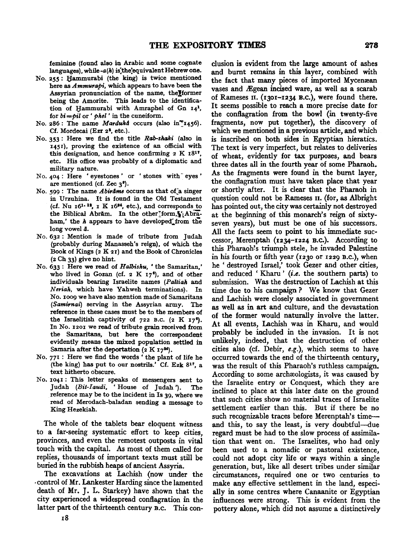feminine (found also in Arabic and some cognate languages), while- $a(h)$  is, the equivalent Hebrew one.

- No. 255: Hammurabi (the king) is twice mentioned here as *A mmurapi,* which appears to have been the Assyrian pronunciation of the name, theJformer being the Amorite. This leads to the identification of Hammurabi with Amraphel of Gn  $14<sup>1</sup>$ , for *bi =Pil* or ' *phel* • in the cuneiform.
- No. 286: The name *Marduka* occurs (also in<sup>\*</sup>1456). Cf. Mordecai (Ezr 2<sup>2</sup>, etc.).
- No. 353 : Here we find the title *Rab-snaki* (also in 1451). proving the existence of an official with this designation, and hence confirming  $2 K 1817$ , etc. His office was probably of a diplomatic and military nature.
- No. 404 : Here ' eyestones' or ' stones with eyes' are mentioned (cf. Zec 3•).
- No. 599: The name *Abirame* occurs as that of a singer in Urzuhina. It is found in the Old Testament (cf. Nu  $16^{1.13}$ , I K  $16^{34}$ , etc.), and corresponds to the Biblical Abram. In the other form, "Abraham,' the *h* appears to have developed from the long vowel ā.
- No. 632: Mention is made of tribute from Judah (probably during Manasseh's reign), of which the Book of Kings  $(z K 21)$  and the Book of Chronicles (2 Ch 33) give no hint.
- No. 633: Here we read of *Halbisnu,*  the Samaritan,' who lived in Gozan (cf. 2 K  $17<sup>6</sup>$ ), and of other individuals bearing Israelite names *(Paltian* and *Neriah,* which have Yahweh terminations). In No. 1009 we have also mention made of Samaritans *(Samirnai)* serving in the Assyrian army. The reference in these cases must be to the members of the Israelitish captivity of  $722$  B.C. (2 K 17<sup>6</sup>). In No. 1201 we read of tribute grain received from the Samaritans, but here the correspondent evidently means the mixed population settled in Samaria after the deportation (2 K  $17<sup>24</sup>$ ).
- No. 77I: Here we find the words' the plant of life he (the king) has put to our nostrils.' Cf. Ezk 817, a text hitherto obscure.
- No. 1041: This letter speaks of messengers sent to Judah *(Bit-Iaudi,* 'House of Judah '). The reference may be to the incident in Is 39, where we read of Merodach-baladan sending a message to King Hezekiah.

The whole of the tablets bear eloquent witness to a far-seeing systematic effort to keep cities, provinces, and even the remotest outposts in vital touch with the capital. As most of them called for replies, thousands of important texts must still be buried in the rubbish heaps of ancient Assyria.

The excavations at Lachish (now under the -control of Mr. Lankester Harding since the lamented death of Mr. J. L. Starkey) have shown that the city experienced a widespread conflagration in the latter part of the thirteenth century B.c. This conelusion is evident from the large amount of ashes and burnt remains in this layer, combined with the fact that many pieces of imported Mycenæan vases and Ægean incised ware, as well as a scarab of Rameses  $II.$  (1301–1234 B.C.), were found there. It seems possible to reach a more precise date for the conflagration from the bowl (in twenty-five fragments, now put together), the discovery of which we mentioned in a previous article, and which is inscribed on both sides in Egyptian hieratics. The text is very imperfect, but relates to deliveries of wheat, evidently for tax purposes, and bears three dates all in the fourth year of some Pharaoh. As the fragments were found in the burnt layer, the conflagration must have taken place that year or shortly after. It is clear that the Pharaoh in question could not be Rameses 11. (for, as Albright has pointed out, the city was certainly not destroyed at the beginning of this monarch's reign of sixtyseven years), but must be one of his successors. All the facts seem to point to his immediate successor, Merenptah (1234-1224 B.c.). According to this Pharaoh!s triumph stele, he invaded Palestine in his fourth or fifth year (1230 or 1229 B.c.), when he ' destroyed Israel,' took Gezer and other cities, and reduced 'Kharu' *(i.e.* the southern parts) to submission. Was the destruction of Lachish at this time due to his campaign ? We know that Gezer and Lachish were closely associated in government as well as in art and culture, and the devastation of the former would naturally involve the latter. At all events, Lachish was in Kharu, and would probably be included in the invasion. It is not unlikely, indeed, that the destruction of other cities also (cf. Debir, *e.g.),* which seems to have occurred towards the end of the thirteenth century, was the result of this Pharaoh's ruthless campaign. According to some archaeologists, it was caused by the Israelite entry or Conquest, which they are inclined to place at this later date on the ground that such cities show no material traces of Israelite settlement earlier than this. But if there be no such recognizable traces before Merenptah's timeand this, to say the least, is very doubtful-due regard must be had to the slow process of assimilation that went on. The Israelites, who had only been used to a nomadic or pastoral existence, could not adopt city life or ways within a single generation, but, like all desert tribes under similar circumstances, required one or two centuries to make any effective settlement in the land, especially in some centres where Canaanite or Egyptian influences were strong. This is evident from the pottery alone, which did not assume a distinctively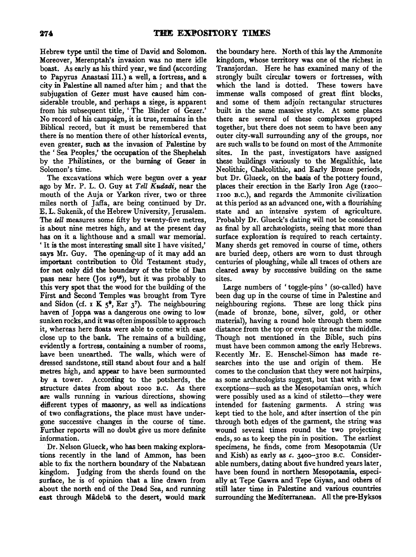Hebrew type until the time of David and Solomon. Moreover, Merenptah's invasion was no mere idle boast. As early as his third year, we find (according to Papyrus Anastasi Ill.) a well, a fortress, and a city in Palestine all named after him ; and that the subjugation of Gezer must have caused him considerable trouble, and perhaps a siege, is apparent from his subsequent title, 'The Binder of Gezer.' No record of his campaign, it is true, remains in the Biblical record, but it must be remembered that there is no mention there of other historical events, even greater, such as the invasion of Palestine by the ' Sea Peoples,' the occupation of the Shephelah by the Philistines, or the burning of Gezer in Solomon's time.

The excavations which were begun over a year ago by Mr. P. L. 0. Guy at *Tell Kudadi,* near the mouth of the Auja or Yarkon river, two or three miles north of Jaffa, are being continued by Dr. E. L. Sukenik, of the Hebrew University, Jerusalem. The *tell* measures some fifty by twenty-five metres, is about nine metres high, and at the present day has on it a lighthouse and a small war memorial. 'It is the most interesting small site I have visited,' says Mr. Guy. The opening-up of it may add an important contribution to Old Testament study, for not only did the boundary of the tribe of Dan pass near here (Jos  $19^{46}$ ), but it was probably to this very spot that the wood for the building of the First and Second Temples was brought from Tyre and Sidon (cf. 1 K  $5^9$ , Ezr  $3^7$ ). The neighbouring haven of Joppa was a dangerous one owing to low sunken rocks, and it was often impossible to approach it, whereas here floats were able to come with ease close up to the bank. The remains of a building, evidently a fortress, containing a number of rooms, have been unearthed. The walls, which were of dressed sandstone, still stand about four and a half metres high, and appear to have been surmounted by a tower. According to the potsherds, the structure dates from about 1ooo B.c. As there are walls running in various directions, showing different types of masonry, as well as indications of two conflagrations, the place must have undergone successive changes in the course of time. Further reports will no doubt give us more definite information.

Dr. Nelson Glueck, who has been making explorations recently in the land of Ammon, has been able to fix the northern boundary of the Nabatrean kingdom. Judging from the sherds found on the surface, he is of opinion that a line drawn from about the north end of the Dead Sea, and running east through Mideba to the desert, would mark

the boundary here. North of this lay the Ammonite kingdom, whose territory was one of the richest in Transjordan. Here he has examined many of the strongly built circular towers or fortresses, with which the land is dotted. These towers have immense walls composed of great flint blocks, and some of them adjoin rectangular structures built in the same massive style. At some places there are several of these complexes grouped together, but there does not seem to have been any outer city-wall surrounding any of the groups, nor are such walls to be found on most of the Ammonite sites. In the past, investigators have assigned these buildings variously to the Megalithic, late Neolithic, Chalcolithic, and Early Bronze periods, but Dr. Glueck, on the basis of the pottery found, places their erection in the Early Iron Age  $(1200$ noo B.c.), and regards the Ammonite civilization at this period as an advanced one, with a flourishing state and an intensive system of agriculture. Probably Dr. Glueck's dating will not be considered as final by all archæologists, seeing that more than surface exploration is required to reach certainty. Many sherds get removed in course of time, others are buried deep, others are worn to dust through centuries of ploughing, while all traces of others are cleared away by successive building on the same sites.

Large numbers of 'toggle-pins' (so-called) have been dug up in the course of time in Palestine and neighbouring regions. These are long thick pins (made of bronze, bone, silver, gold, or other material), having a round hole through them some distance from the top or even quite near the middle. Though not mentioned in the Bible, such pins must have been common among the early Hebrews. Recently Mr. E. Henschel-Simon has made researches into the use and origin of them. He comes to the conclusion that they were not hairpins, as some archæologists suggest, but that with a few exceptions-such as the Mesopotamian ones, which were possibly used as a kind of stiletto-they were intended for fastening garments. A string was kept tied to the hole, and after insertion of the pin through both edges of the garment, the string was wound several times round the two projecting ends, so as to keep the pin in position. The earliest specimens, he finds, come from Mesopotamia (Ur and Kish) as early as *c.* 34oo-3xoo B.C. Considerable numbers, dating about five hundred years later, have been found in northern Mesopotamia, especially at Tepe Gawra and Tepe Giyan, and others of still later time in Palestine and various countries surrounding the Mediterranean. All the pre-Hyksos